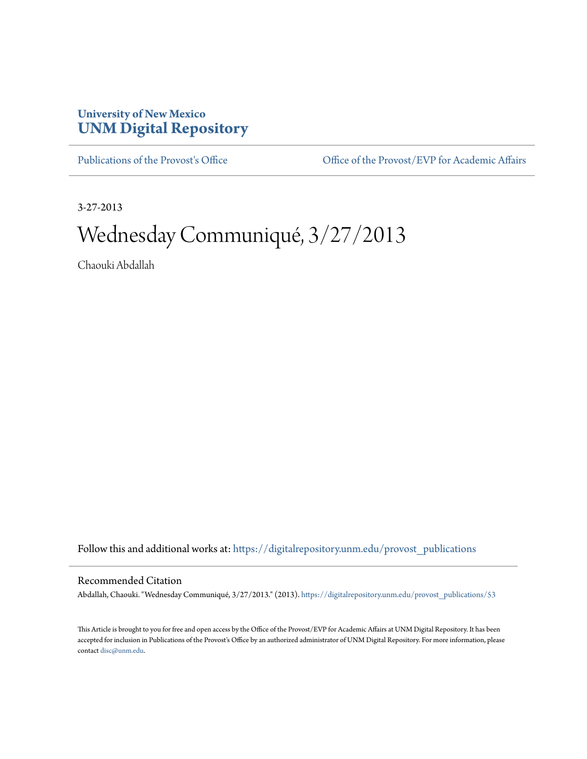## **University of New Mexico [UNM Digital Repository](https://digitalrepository.unm.edu?utm_source=digitalrepository.unm.edu%2Fprovost_publications%2F53&utm_medium=PDF&utm_campaign=PDFCoverPages)**

[Publications of the Provost's Office](https://digitalrepository.unm.edu/provost_publications?utm_source=digitalrepository.unm.edu%2Fprovost_publications%2F53&utm_medium=PDF&utm_campaign=PDFCoverPages) Office [Office of the Provost/EVP for Academic Affairs](https://digitalrepository.unm.edu/ofc_provost?utm_source=digitalrepository.unm.edu%2Fprovost_publications%2F53&utm_medium=PDF&utm_campaign=PDFCoverPages)

3-27-2013

# Wednesday Communiqué, 3/27/2013

Chaouki Abdallah

Follow this and additional works at: [https://digitalrepository.unm.edu/provost\\_publications](https://digitalrepository.unm.edu/provost_publications?utm_source=digitalrepository.unm.edu%2Fprovost_publications%2F53&utm_medium=PDF&utm_campaign=PDFCoverPages)

#### Recommended Citation

Abdallah, Chaouki. "Wednesday Communiqué, 3/27/2013." (2013). [https://digitalrepository.unm.edu/provost\\_publications/53](https://digitalrepository.unm.edu/provost_publications/53?utm_source=digitalrepository.unm.edu%2Fprovost_publications%2F53&utm_medium=PDF&utm_campaign=PDFCoverPages)

This Article is brought to you for free and open access by the Office of the Provost/EVP for Academic Affairs at UNM Digital Repository. It has been accepted for inclusion in Publications of the Provost's Office by an authorized administrator of UNM Digital Repository. For more information, please contact [disc@unm.edu.](mailto:disc@unm.edu)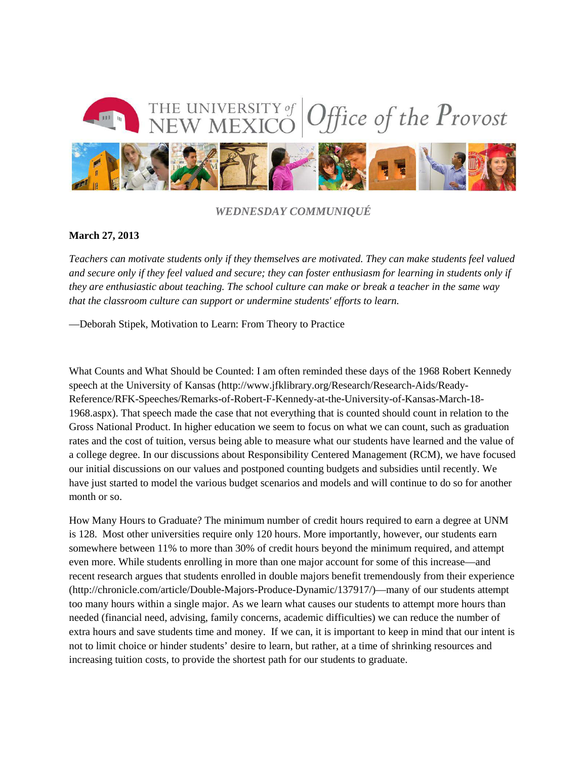

*WEDNESDAY COMMUNIQUÉ*

#### **March 27, 2013**

*Teachers can motivate students only if they themselves are motivated. They can make students feel valued and secure only if they feel valued and secure; they can foster enthusiasm for learning in students only if they are enthusiastic about teaching. The school culture can make or break a teacher in the same way that the classroom culture can support or undermine students' efforts to learn.*

—Deborah Stipek, Motivation to Learn: From Theory to Practice

What Counts and What Should be Counted: I am often reminded these days of the 1968 Robert Kennedy speech at the University of Kansas (http://www.jfklibrary.org/Research/Research-Aids/Ready-Reference/RFK-Speeches/Remarks-of-Robert-F-Kennedy-at-the-University-of-Kansas-March-18- 1968.aspx). That speech made the case that not everything that is counted should count in relation to the Gross National Product. In higher education we seem to focus on what we can count, such as graduation rates and the cost of tuition, versus being able to measure what our students have learned and the value of a college degree. In our discussions about Responsibility Centered Management (RCM), we have focused our initial discussions on our values and postponed counting budgets and subsidies until recently. We have just started to model the various budget scenarios and models and will continue to do so for another month or so.

How Many Hours to Graduate? The minimum number of credit hours required to earn a degree at UNM is 128. Most other universities require only 120 hours. More importantly, however, our students earn somewhere between 11% to more than 30% of credit hours beyond the minimum required, and attempt even more. While students enrolling in more than one major account for some of this increase—and recent research argues that students enrolled in double majors benefit tremendously from their experience (http://chronicle.com/article/Double-Majors-Produce-Dynamic/137917/)—many of our students attempt too many hours within a single major. As we learn what causes our students to attempt more hours than needed (financial need, advising, family concerns, academic difficulties) we can reduce the number of extra hours and save students time and money. If we can, it is important to keep in mind that our intent is not to limit choice or hinder students' desire to learn, but rather, at a time of shrinking resources and increasing tuition costs, to provide the shortest path for our students to graduate.